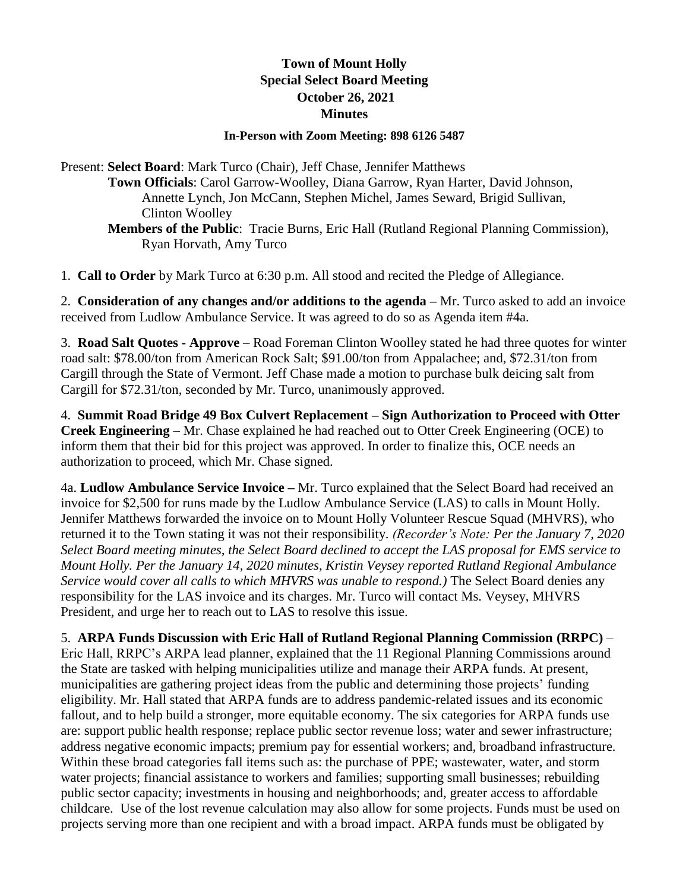## **Town of Mount Holly Special Select Board Meeting October 26, 2021 Minutes**

## **In-Person with Zoom Meeting: 898 6126 5487**

Present: **Select Board**: Mark Turco (Chair), Jeff Chase, Jennifer Matthews **Town Officials**: Carol Garrow-Woolley, Diana Garrow, Ryan Harter, David Johnson, Annette Lynch, Jon McCann, Stephen Michel, James Seward, Brigid Sullivan, Clinton Woolley **Members of the Public**: Tracie Burns, Eric Hall (Rutland Regional Planning Commission), Ryan Horvath, Amy Turco

1. **Call to Order** by Mark Turco at 6:30 p.m. All stood and recited the Pledge of Allegiance.

2. **Consideration of any changes and/or additions to the agenda –** Mr. Turco asked to add an invoice received from Ludlow Ambulance Service. It was agreed to do so as Agenda item #4a.

3. **Road Salt Quotes - Approve** – Road Foreman Clinton Woolley stated he had three quotes for winter road salt: \$78.00/ton from American Rock Salt; \$91.00/ton from Appalachee; and, \$72.31/ton from Cargill through the State of Vermont. Jeff Chase made a motion to purchase bulk deicing salt from Cargill for \$72.31/ton, seconded by Mr. Turco, unanimously approved.

4. **Summit Road Bridge 49 Box Culvert Replacement – Sign Authorization to Proceed with Otter Creek Engineering** – Mr. Chase explained he had reached out to Otter Creek Engineering (OCE) to inform them that their bid for this project was approved. In order to finalize this, OCE needs an authorization to proceed, which Mr. Chase signed.

4a. **Ludlow Ambulance Service Invoice –** Mr. Turco explained that the Select Board had received an invoice for \$2,500 for runs made by the Ludlow Ambulance Service (LAS) to calls in Mount Holly. Jennifer Matthews forwarded the invoice on to Mount Holly Volunteer Rescue Squad (MHVRS), who returned it to the Town stating it was not their responsibility. *(Recorder's Note: Per the January 7, 2020 Select Board meeting minutes, the Select Board declined to accept the LAS proposal for EMS service to Mount Holly. Per the January 14, 2020 minutes, Kristin Veysey reported Rutland Regional Ambulance Service would cover all calls to which MHVRS was unable to respond.)* The Select Board denies any responsibility for the LAS invoice and its charges. Mr. Turco will contact Ms. Veysey, MHVRS President, and urge her to reach out to LAS to resolve this issue.

5. **ARPA Funds Discussion with Eric Hall of Rutland Regional Planning Commission (RRPC)** – Eric Hall, RRPC's ARPA lead planner, explained that the 11 Regional Planning Commissions around the State are tasked with helping municipalities utilize and manage their ARPA funds. At present, municipalities are gathering project ideas from the public and determining those projects' funding eligibility. Mr. Hall stated that ARPA funds are to address pandemic-related issues and its economic fallout, and to help build a stronger, more equitable economy. The six categories for ARPA funds use are: support public health response; replace public sector revenue loss; water and sewer infrastructure; address negative economic impacts; premium pay for essential workers; and, broadband infrastructure. Within these broad categories fall items such as: the purchase of PPE; wastewater, water, and storm water projects; financial assistance to workers and families; supporting small businesses; rebuilding public sector capacity; investments in housing and neighborhoods; and, greater access to affordable childcare. Use of the lost revenue calculation may also allow for some projects. Funds must be used on projects serving more than one recipient and with a broad impact. ARPA funds must be obligated by